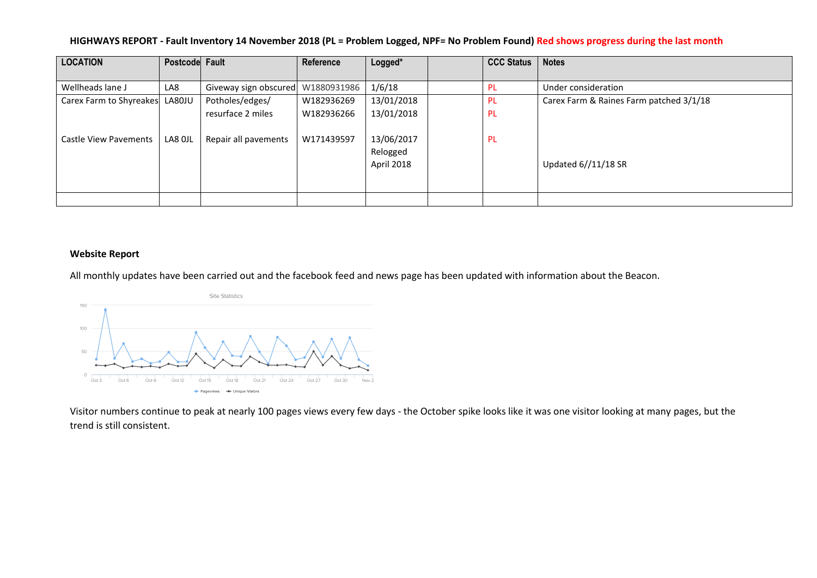### **HIGHWAYS REPORT - Fault Inventory 14 November 2018 (PL = Problem Logged, NPF= No Problem Found) Red shows progress during the last month**

| <b>LOCATION</b>              | Postcode Fault |                       | Reference   | Logged*    | <b>CCC Status</b> | <b>Notes</b>                            |
|------------------------------|----------------|-----------------------|-------------|------------|-------------------|-----------------------------------------|
|                              |                |                       |             |            |                   |                                         |
| Wellheads lane J             | LA8            | Giveway sign obscured | W1880931986 | 1/6/18     | - PL              | Under consideration                     |
| Carex Farm to Shyreakes      | LA80JU         | Potholes/edges/       | W182936269  | 13/01/2018 | - PL              | Carex Farm & Raines Farm patched 3/1/18 |
|                              |                | resurface 2 miles     | W182936266  | 13/01/2018 | -PL               |                                         |
|                              |                |                       |             |            |                   |                                         |
| <b>Castle View Pavements</b> | LA8 OJL        | Repair all pavements  | W171439597  | 13/06/2017 | -PL               |                                         |
|                              |                |                       |             | Relogged   |                   |                                         |
|                              |                |                       |             | April 2018 |                   | Updated 6//11/18 SR                     |
|                              |                |                       |             |            |                   |                                         |
|                              |                |                       |             |            |                   |                                         |
|                              |                |                       |             |            |                   |                                         |

#### **Website Report**

All monthly updates have been carried out and the facebook feed and news page has been updated with information about the Beacon.



Visitor numbers continue to peak at nearly 100 pages views every few days - the October spike looks like it was one visitor looking at many pages, but the trend is still consistent.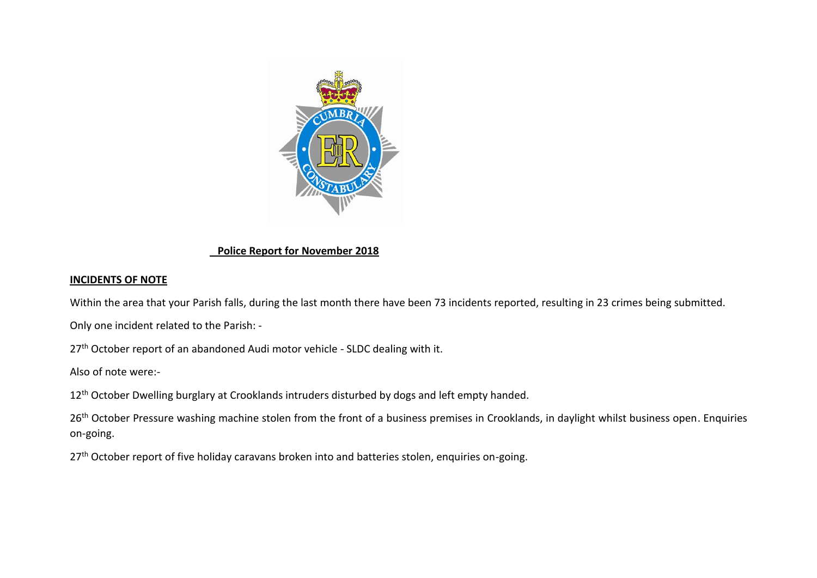

# **Police Report for November 2018**

# **INCIDENTS OF NOTE**

Within the area that your Parish falls, during the last month there have been 73 incidents reported, resulting in 23 crimes being submitted.

Only one incident related to the Parish: -

27<sup>th</sup> October report of an abandoned Audi motor vehicle - SLDC dealing with it.

Also of note were:-

12<sup>th</sup> October Dwelling burglary at Crooklands intruders disturbed by dogs and left empty handed.

26<sup>th</sup> October Pressure washing machine stolen from the front of a business premises in Crooklands, in daylight whilst business open. Enquiries on-going.

27<sup>th</sup> October report of five holiday caravans broken into and batteries stolen, enquiries on-going.